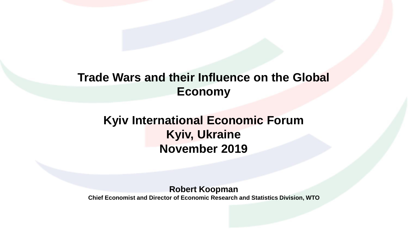### **Trade Wars and their Influence on the Global Economy**

## **Kyiv International Economic Forum Kyiv, Ukraine November 2019**

**Robert Koopman**

**Chief Economist and Director of Economic Research and Statistics Division, WTO**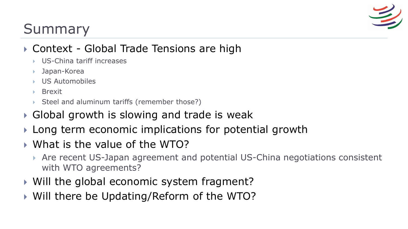

# Summary

### ▶ Context - Global Trade Tensions are high

- US-China tariff increases
- Japan-Korea
- US Automobiles
- Brexit
- Steel and aluminum tariffs (remember those?)
- ▶ Global growth is slowing and trade is weak
- **Long term economic implications for potential growth**
- What is the value of the WTO?
	- Are recent US-Japan agreement and potential US-China negotiations consistent with WTO agreements?
- ▶ Will the global economic system fragment?
- ▶ Will there be Updating/Reform of the WTO?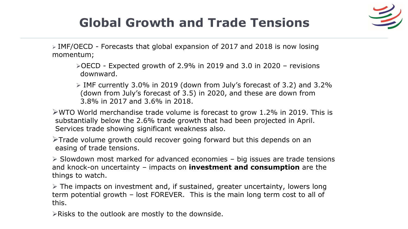# **Global Growth and Trade Tensions**



 $\triangleright$  IMF/OECD - Forecasts that global expansion of 2017 and 2018 is now losing momentum;

 $\triangle$ OECD - Expected growth of 2.9% in 2019 and 3.0 in 2020 – revisions downward.

 $\triangleright$  IMF currently 3.0% in 2019 (down from July's forecast of 3.2) and 3.2% (down from July's forecast of 3.5) in 2020, and these are down from 3.8% in 2017 and 3.6% in 2018.

 $\triangleright$ WTO World merchandise trade volume is forecast to grow 1.2% in 2019. This is substantially below the 2.6% trade growth that had been projected in April. Services trade showing significant weakness also.

 $\triangleright$ Trade volume growth could recover going forward but this depends on an easing of trade tensions.

 $\triangleright$  Slowdown most marked for advanced economies – big issues are trade tensions and knock-on uncertainty – impacts on **investment and consumption** are the things to watch.

 $\triangleright$  The impacts on investment and, if sustained, greater uncertainty, lowers long term potential growth – lost FOREVER. This is the main long term cost to all of this.

 $\triangleright$ Risks to the outlook are mostly to the downside.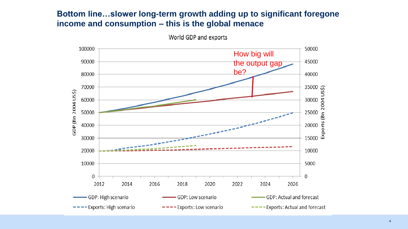#### **Bottom line…slower long-term growth adding up to significant foregone income and consumption – this is the global menace**



World GDP and exports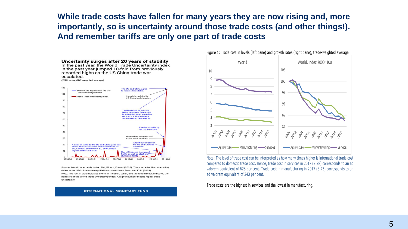**While trade costs have fallen for many years they are now rising and, more importantly, so is uncertainty around those trade costs (and other things!). And remember tariffs are only one part of trade costs**



Uncertainty related to US-30 China trade tensions A tariff truce between<br>the US and China is A seles of tariffs by the US and China goes into<br>effect. The US also ends tariff exemptions for<br>EU, Canada, and Mexico. EU and Canada  $20$ annouced. tariffs on the US  $10$ The US imposes Safeguard Tariffs as well as steel and m tariff

1995Q1 1998Q1 2001Q1 2004Q1 2007Q1 2010Q1 2013Q1 2016Q1 201901

Source: World Uncertainty Index. Ahir, Bloom, Furceri (2018). The source for the data on key dates in the US-China trade negotiations comes from Bown and Kolb (2019). Note: The font in blue indicates the tariff measure taken, and the font in black indicates the narrative of the World Trade Uncertainty index. A higher number means higher trade uncertainty.

#### **INTERNATIONAL MONETARY FUND**



Note: The level of trade cost can be interpreted as how many times higher is international trade cost compared to domestic trade cost. Hence, trade cost in services in 2017 (7.28) corresponds to an ad valorem equivalent of 628 per cent. Trade cost in manufacturing in 2017 (3.43) corresponds to an ad valorem equivalent of 243 per cent.

Trade costs are the highest in services and the lowest in manufacturing.

#### Figure 1: Trade cost in levels (left pane) and growth rates (right pane), trade-weighted average